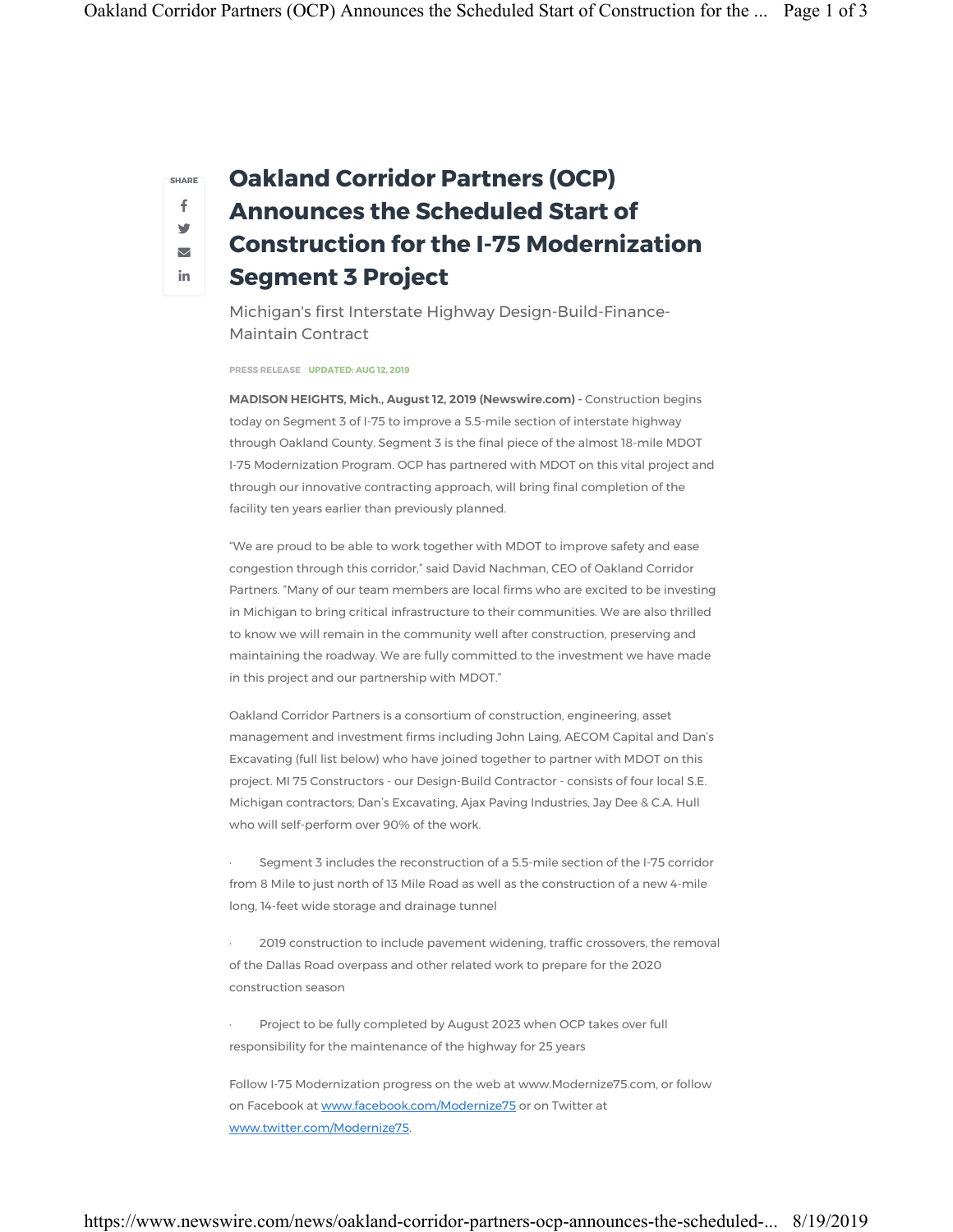SHARE f w  $\triangledown$ in

## Oakland Corridor Partners (OCP) Announces the Scheduled Start of Construction for the I-75 Modernization Segment 3 Project

Michigan's first Interstate Highway Design-Build-Finance-Maintain Contract

PRESS RELEASE UPDATED: AUG 12, 2019

MADISON HEIGHTS, Mich., August 12, 2019 (Newswire.com) - Construction begins today on Segment 3 of I-75 to improve a 5.5-mile section of interstate highway through Oakland County. Segment 3 is the final piece of the almost 18-mile MDOT I-75 Modernization Program. OCP has partnered with MDOT on this vital project and through our innovative contracting approach, will bring final completion of the facility ten years earlier than previously planned.

"We are proud to be able to work together with MDOT to improve safety and ease congestion through this corridor," said David Nachman, CEO of Oakland Corridor Partners. "Many of our team members are local firms who are excited to be investing in Michigan to bring critical infrastructure to their communities. We are also thrilled to know we will remain in the community well after construction, preserving and maintaining the roadway. We are fully committed to the investment we have made in this project and our partnership with MDOT."

Oakland Corridor Partners is a consortium of construction, engineering, asset management and investment firms including John Laing, AECOM Capital and Dan's Excavating (full list below) who have joined together to partner with MDOT on this project. MI 75 Constructors - our Design-Build Contractor - consists of four local S.E. Michigan contractors; Dan's Excavating, Ajax Paving Industries, Jay Dee & C.A. Hull who will self-perform over 90% of the work.

Segment 3 includes the reconstruction of a 5.5-mile section of the I-75 corridor from 8 Mile to just north of 13 Mile Road as well as the construction of a new 4-mile long, 14-feet wide storage and drainage tunnel

2019 construction to include pavement widening, traffic crossovers, the removal of the Dallas Road overpass and other related work to prepare for the 2020 construction season

Project to be fully completed by August 2023 when OCP takes over full responsibility for the maintenance of the highway for 25 years

Follow I-75 Modernization progress on the web at www.Modernize75.com, or follow on Facebook at www.facebook.com/Modernize75 or on Twitter at www.twitter.com/Modernize75.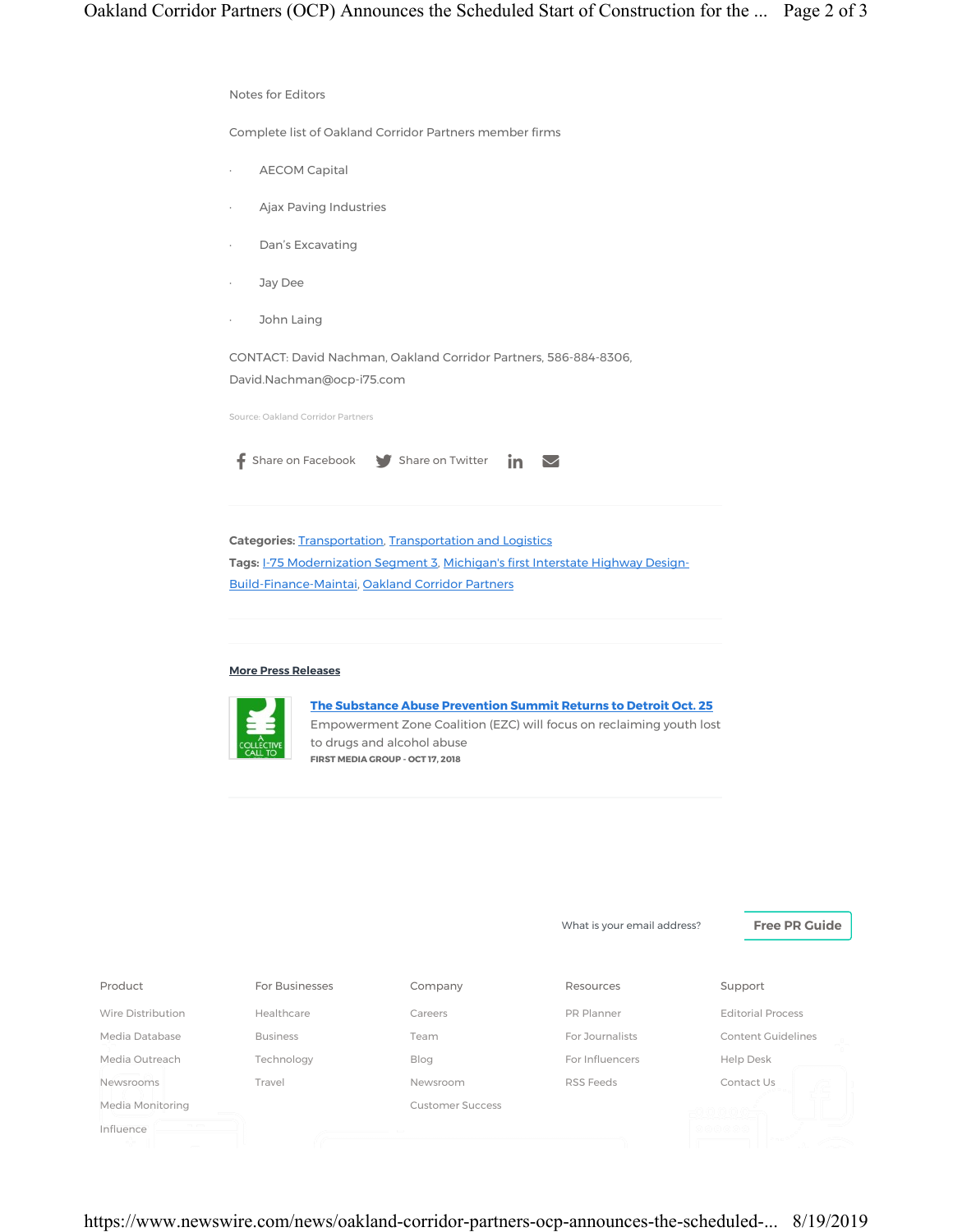

| Product           | For Businesses  | Company                 | Resources       | Support                  |
|-------------------|-----------------|-------------------------|-----------------|--------------------------|
| Wire Distribution | Healthcare      | Careers                 | PR Planner      | <b>Editorial Process</b> |
| Media Database    | <b>Business</b> | Team                    | For Journalists | Content Guidelines       |
| Media Outreach    | Technology      | Blog                    | For Influencers | Help Desk                |
| Newsrooms         | Travel          | Newsroom                | RSS Feeds       | Contact Us               |
| Media Monitoring  |                 | <b>Customer Success</b> |                 |                          |
| Influence         |                 |                         |                 |                          |